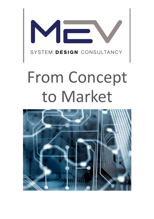

# From Concept to Market

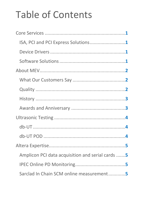## Table of Contents

| ISA, PCI and PCI Express Solutions1               |  |
|---------------------------------------------------|--|
|                                                   |  |
|                                                   |  |
|                                                   |  |
|                                                   |  |
|                                                   |  |
|                                                   |  |
|                                                   |  |
|                                                   |  |
|                                                   |  |
|                                                   |  |
|                                                   |  |
| Amplicon PCI data acquisition and serial cards  5 |  |
|                                                   |  |
| Sarclad In Chain SCM online measurement5          |  |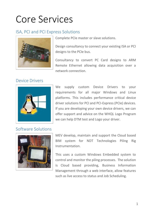### Core Services

### ISA, PCI and PCI Express Solutions



Complete PCIe master or slave solutions.

Design consultancy to connect your existing ISA or PCI designs to the PCIe bus.

Consultancy to convert PC Card designs to ARM Remote Ethernet allowing data acquisition over a network connection.

### Device Drivers



We supply custom Device Drivers to your requirements for all major Windows and Linux platforms. This includes performance critical device driver solutions for PCI and PCI-Express (PCIe) devices. If you are developing your own device drivers, we can offer support and advice on the WHQL Logo Program we can help DTM test and Logo your driver.

### Software Solutions



MEV develop, maintain and support the Cloud based BIM system for NDT Technologies Piling Rig Instrumentation.

This uses a custom Windows Embedded system to control and monitor the piling processes. The solution is Cloud based providing, Business Information Management through a web interface, allow features such as live access to status and Job Scheduling.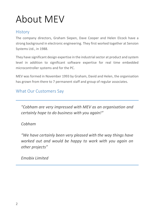### About MEV

### **History**

The company directors, Graham Siepen, Dave Cooper and Helen Elcock have a strong background in electronic engineering. They first worked together at Sension Systems Ltd., in 1988.

They have significant design expertise in the industrial sector at product and system level in addition to significant software expertise for real time embedded microcontroller systems and for the PC.

MEV was formed in November 1993 by Graham, David and Helen, the organisation has grown from there to 7 permanent staff and group of regular associates.

### What Our Customers Say

*"Cobham are very impressed with MEV as an organisation and certainly hope to do business with you again!"*

#### *Cobham*

*"We have certainly been very pleased with the way things have worked out and would be happy to work with you again on other projects"*

*Emobix Limited*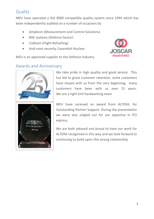### **Quality**

MEV have operated a ISO 9000 compatible quality system since 1994 which has been independently audited on a number of occasions by

- Amplicon (Measurement and Control Solutions)
- BAE systems (Defence Sector)
- Cobham (Flight Refuelling)
- And most recently Cavendish Nuclear



MEV is an approved supplier to the Defence Industry

### Awards and Anniversary



We take pride in high quality and good service. This has led to great customer retention, some customers have stayed with us from the very beginning, many customers have been with us over 15 years. We are a tight knit hardworking team

MEV have received an award from ALTERA, for Outstanding Partner Support. During the presentation we were also singled out for our expertise in PCI express.

We are both pleased and proud to have our work for ALTERA recognised in this way and we look forward to continuing to build upon this strong relationship.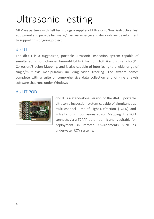# Ultrasonic Testing

MEV are partners with Bell Technology a supplier of Ultrasonic Non Destructive Test equipment and provide firmware / hardware design and device driver development to support this ongoing project

### db-UT

The db-UT is a ruggedized, portable ultrasonic inspection system capable of simultaneous multi-channel Time-of-Flight-Diffraction (TOFD) and Pulse Echo (PE) Corrosion/Erosion Mapping, and is also capable of interfacing to a wide range of single/multi-axis manipulators including video tracking. The system comes complete with a suite of comprehensive data collection and off-line analysis software that runs under Windows.

### db-UT POD



db-UT is a stand-alone version of the db-UT portable ultrasonic inspection system capable of simultaneous multi-channel Time-of-Flight-Diffraction (TOFD) and Pulse Echo (PE) Corrosion/Erosion Mapping. The POD connects via a TCP/IP ethernet link and is suitable for deployment in remote environments such as underwater ROV systems.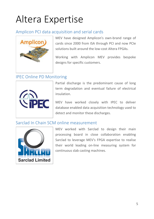### Altera Expertise

### Amplicon PCI data acquisition and serial cards



MEV have designed Amplicon's own-brand range of cards since 2000 from ISA through PCI and now PCIe solutions built around the low-cost Altera FPGAs.

Working with Amplicon MEV provides bespoke designs for specific customers.

### IPEC Online PD Monitoring



Partial discharge is the predominant cause of long term degradation and eventual failure of electrical insulation.

MEV have worked closely with IPEC to deliver database enabled data acquisition technology used to detect and monitor these discharges.

#### Sarclad In Chain SCM online measurement



MEV worked with Sarclad to design their main processing board in close collaboration enabling Sarclad to leverage MEV's FPGA expertise to realise their world leading on-line measuring system for continuous slab casting machines.